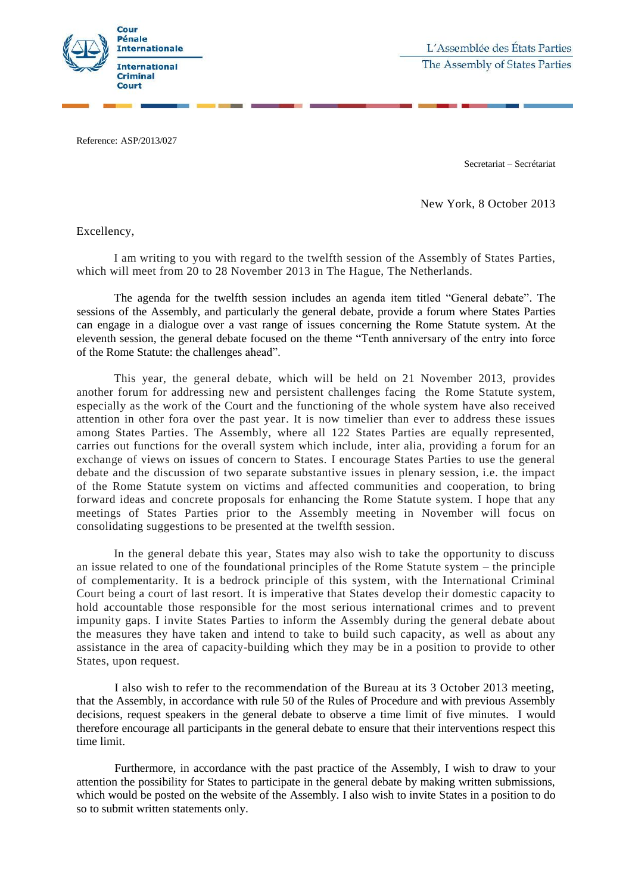

L'Assemblée des États Parties The Assembly of States Parties

Reference: ASP/2013/027

Secretariat – Secrétariat

New York, 8 October 2013

Excellency,

I am writing to you with regard to the twelfth session of the Assembly of States Parties, which will meet from 20 to 28 November 2013 in The Hague, The Netherlands.

The agenda for the twelfth session includes an agenda item titled "General debate". The sessions of the Assembly, and particularly the general debate, provide a forum where States Parties can engage in a dialogue over a vast range of issues concerning the Rome Statute system. At the eleventh session, the general debate focused on the theme "Tenth anniversary of the entry into force of the Rome Statute: the challenges ahead".

This year, the general debate, which will be held on 21 November 2013, provides another forum for addressing new and persistent challenges facing the Rome Statute system, especially as the work of the Court and the functioning of the whole system have also received attention in other fora over the past year. It is now timelier than ever to address these issues among States Parties. The Assembly, where all 122 States Parties are equally represented, carries out functions for the overall system which include, inter alia, providing a forum for an exchange of views on issues of concern to States. I encourage States Parties to use the general debate and the discussion of two separate substantive issues in plenary session, i.e. the impact of the Rome Statute system on victims and affected communities and cooperation, to bring forward ideas and concrete proposals for enhancing the Rome Statute system. I hope that any meetings of States Parties prior to the Assembly meeting in November will focus on consolidating suggestions to be presented at the twelfth session.

In the general debate this year, States may also wish to take the opportunity to discuss an issue related to one of the foundational principles of the Rome Statute system – the principle of complementarity. It is a bedrock principle of this system, with the International Criminal Court being a court of last resort. It is imperative that States develop their domestic capacity to hold accountable those responsible for the most serious international crimes and to prevent impunity gaps. I invite States Parties to inform the Assembly during the general debate about the measures they have taken and intend to take to build such capacity, as well as about any assistance in the area of capacity-building which they may be in a position to provide to other States, upon request.

I also wish to refer to the recommendation of the Bureau at its 3 October 2013 meeting, that the Assembly, in accordance with rule 50 of the Rules of Procedure and with previous Assembly decisions, request speakers in the general debate to observe a time limit of five minutes. I would therefore encourage all participants in the general debate to ensure that their interventions respect this time limit.

Furthermore, in accordance with the past practice of the Assembly, I wish to draw to your attention the possibility for States to participate in the general debate by making written submissions, which would be posted on the website of the Assembly. I also wish to invite States in a position to do so to submit written statements only.